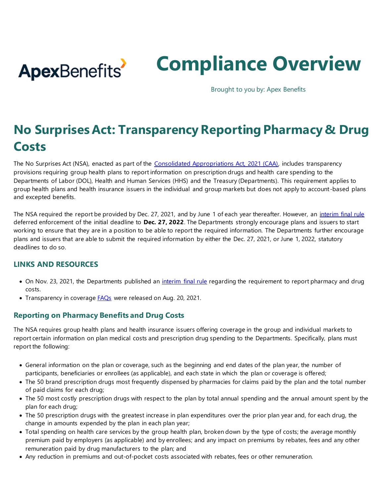

# **Compliance Overview**

Brought to you by: Apex Benefits

# **No Surprises Act: Transparency Reporting Pharmacy & Drug Costs**

The No Surprises Act (NSA), enacted as part of the [Consolidated Appropriations Act, 2021 \(CAA\),](https://rules.house.gov/sites/democrats.rules.house.gov/files/BILLS-116HR133SA-RCP-116-68.pdf) includes transparency provisions requiring group health plans to report information on prescription drugs and health care spending to the Departments of Labor (DOL), Health and Human Services (HHS) and the Treasury (Departments). This requirement applies to group health plans and health insurance issuers in the individual and group markets but does not apply to account -based plans and excepted benefits.

The NSA required the report be provided by Dec. 27, 2021, and by June 1 of each year thereafter. However, a[n interim final rule](https://www.govinfo.gov/content/pkg/FR-2021-11-23/pdf/2021-25183.pdf) deferred enforcement of the initial deadline to **Dec. 27, 2022**. The Departments strongly encourage plans and issuers to start working to ensure that they are in a position to be able to report the required information. The Departments further encourage plans and issuers that are able to submit the required information by either the Dec. 27, 2021, or June 1, 2022, statutory deadlines to do so.

#### **LINKS AND RESOURCES**

- On Nov. 23, 2021, the Departments published an *interim final rule* regarding the requirement to report pharmacy and drug costs.
- Transparency in coverage **FAQs** were released on Aug. 20, 2021.

## **Reporting on Pharmacy Benefits and Drug Costs**

The NSA requires group health plans and health insurance issuers offering coverage in the group and individual markets to report certain information on plan medical costs and prescription drug spending to the Departments. Specifically, plans must report the following:

- General information on the plan or coverage, such as the beginning and end dates of the plan year, the number of participants, beneficiaries or enrollees (as applicable), and each state in which the plan or coverage is offered;
- The 50 brand prescription drugs most frequently dispensed by pharmacies for claims paid by the plan and the total number of paid claims for each drug;
- The 50 most costly prescription drugs with respect to the plan by total annual spending and the annual amount spent by the plan for each drug;
- The 50 prescription drugs with the greatest increase in plan expenditures over the prior plan year and, for each drug, the change in amounts expended by the plan in each plan year;
- Total spending on health care services by the group health plan, broken down by the type of costs; the average monthly premium paid by employers (as applicable) and by enrollees; and any impact on premiums by rebates, fees and any other remuneration paid by drug manufacturers to the plan; and
- Any reduction in premiums and out-of-pocket costs associated with rebates, fees or other remuneration.